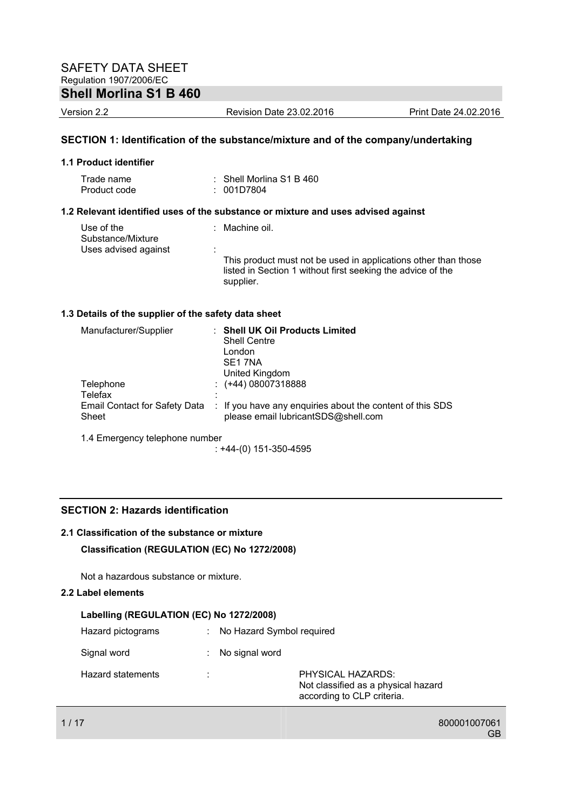# **Shell Morlina S1 B 460**

Version 2.2 Revision Date 23.02.2016 Print Date 24.02.2016

# **SECTION 1: Identification of the substance/mixture and of the company/undertaking**

#### **1.1 Product identifier**

| Trade name   | $\therefore$ Shell Morlina S1 B 460 |
|--------------|-------------------------------------|
| Product code | : 001D7804                          |

## **1.2 Relevant identified uses of the substance or mixture and uses advised against**

| Use of the<br>Substance/Mixture | : Machine oil.                                                           |
|---------------------------------|--------------------------------------------------------------------------|
| Uses advised against            | This product must not be used in applications other than those           |
|                                 | listed in Section 1 without first seeking the advice of the<br>supplier. |

### **1.3 Details of the supplier of the safety data sheet**

| Manufacturer/Supplier                         | <b>Shell UK Oil Products Limited</b><br><b>Shell Centre</b><br>London<br>SE <sub>1</sub> 7NA     |
|-----------------------------------------------|--------------------------------------------------------------------------------------------------|
|                                               | United Kingdom                                                                                   |
| Telephone                                     | $\div$ (+44) 08007318888                                                                         |
| Telefax                                       |                                                                                                  |
| <b>Email Contact for Safety Data</b><br>Sheet | : If you have any enquiries about the content of this SDS<br>please email lubricantSDS@shell.com |
| 1.4 Emergency telephone number                |                                                                                                  |

: +44-(0) 151-350-4595

## **SECTION 2: Hazards identification**

# **2.1 Classification of the substance or mixture**

**Classification (REGULATION (EC) No 1272/2008)** 

Not a hazardous substance or mixture.

## **2.2 Label elements**

| Labelling (REGULATION (EC) No 1272/2008) |   |                                                                                        |  |  |
|------------------------------------------|---|----------------------------------------------------------------------------------------|--|--|
| Hazard pictograms                        |   | : No Hazard Symbol required                                                            |  |  |
| Signal word                              |   | No signal word                                                                         |  |  |
| Hazard statements                        | ٠ | PHYSICAL HAZARDS:<br>Not classified as a physical hazard<br>according to CLP criteria. |  |  |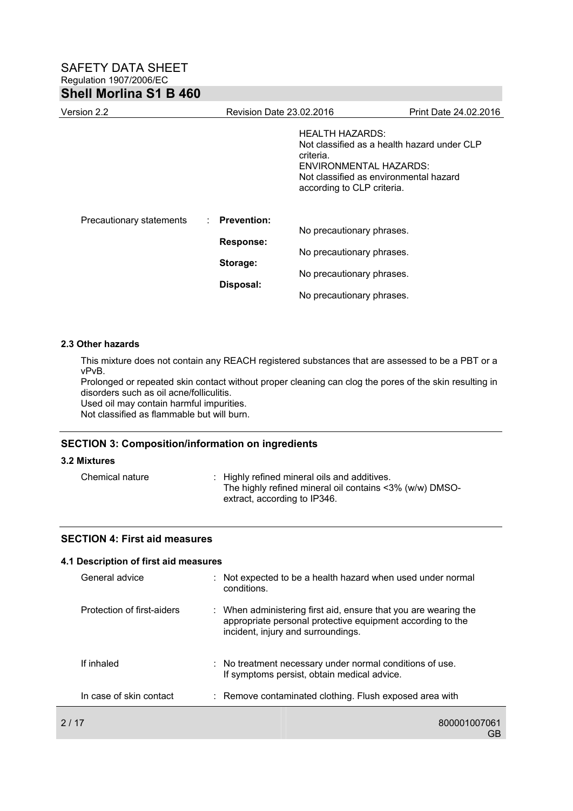| Version 2.2              | Revision Date 23.02.2016 |                                                                                                                                                                                      | Print Date 24.02.2016 |
|--------------------------|--------------------------|--------------------------------------------------------------------------------------------------------------------------------------------------------------------------------------|-----------------------|
|                          |                          | <b>HEALTH HAZARDS:</b><br>Not classified as a health hazard under CLP<br>criteria.<br>ENVIRONMENTAL HAZARDS:<br>Not classified as environmental hazard<br>according to CLP criteria. |                       |
| Precautionary statements | : Prevention:            |                                                                                                                                                                                      |                       |
|                          | <b>Response:</b>         | No precautionary phrases.                                                                                                                                                            |                       |
|                          | Storage:                 | No precautionary phrases.                                                                                                                                                            |                       |
|                          |                          | No precautionary phrases.                                                                                                                                                            |                       |
|                          | Disposal:                | No precautionary phrases.                                                                                                                                                            |                       |

#### **2.3 Other hazards**

This mixture does not contain any REACH registered substances that are assessed to be a PBT or a vPvB.

Prolonged or repeated skin contact without proper cleaning can clog the pores of the skin resulting in disorders such as oil acne/folliculitis.

Used oil may contain harmful impurities.

Not classified as flammable but will burn.

## **SECTION 3: Composition/information on ingredients**

# **3.2 Mixtures**

| Chemical nature | : Highly refined mineral oils and additives.            |
|-----------------|---------------------------------------------------------|
|                 | The highly refined mineral oil contains <3% (w/w) DMSO- |
|                 | extract, according to IP346.                            |

### **SECTION 4: First aid measures**

|      | 4.1 Description of first aid measures |                                                                                                                                                                     |
|------|---------------------------------------|---------------------------------------------------------------------------------------------------------------------------------------------------------------------|
|      | General advice                        | : Not expected to be a health hazard when used under normal<br>conditions.                                                                                          |
|      | Protection of first-aiders            | : When administering first aid, ensure that you are wearing the<br>appropriate personal protective equipment according to the<br>incident, injury and surroundings. |
|      | If inhaled                            | : No treatment necessary under normal conditions of use.<br>If symptoms persist, obtain medical advice.                                                             |
|      | In case of skin contact               | : Remove contaminated clothing. Flush exposed area with                                                                                                             |
| 2/17 |                                       | 800001007061<br>GB                                                                                                                                                  |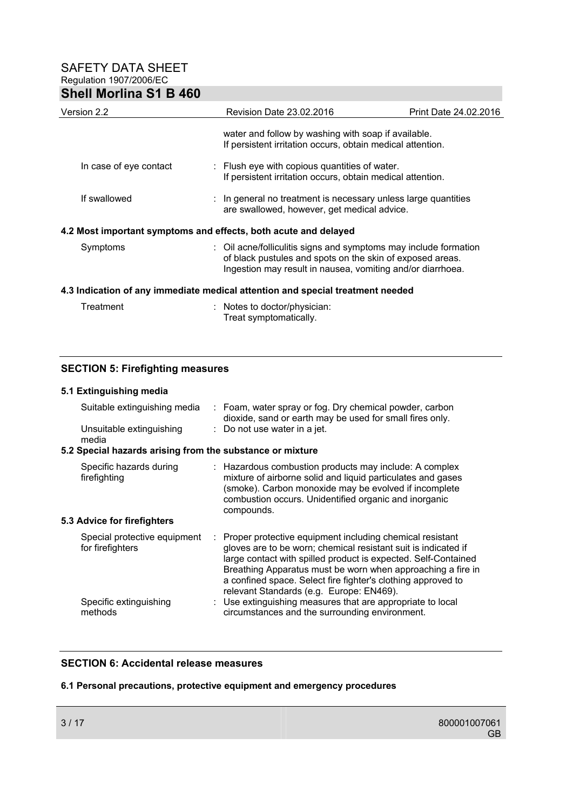| Version 2.2                                                                    | <b>Revision Date 23.02.2016</b>                                                                                                                                                             | Print Date 24.02.2016 |  |  |
|--------------------------------------------------------------------------------|---------------------------------------------------------------------------------------------------------------------------------------------------------------------------------------------|-----------------------|--|--|
|                                                                                | water and follow by washing with soap if available.<br>If persistent irritation occurs, obtain medical attention.                                                                           |                       |  |  |
| In case of eye contact                                                         | : Flush eye with copious quantities of water.<br>If persistent irritation occurs, obtain medical attention.                                                                                 |                       |  |  |
| If swallowed                                                                   | : In general no treatment is necessary unless large quantities<br>are swallowed, however, get medical advice.                                                                               |                       |  |  |
| 4.2 Most important symptoms and effects, both acute and delayed                |                                                                                                                                                                                             |                       |  |  |
| Symptoms                                                                       | : Oil acne/folliculitis signs and symptoms may include formation<br>of black pustules and spots on the skin of exposed areas.<br>Ingestion may result in nausea, vomiting and/or diarrhoea. |                       |  |  |
| 4.3 Indication of any immediate medical attention and special treatment needed |                                                                                                                                                                                             |                       |  |  |

| Treatment | : Notes to doctor/physician: |
|-----------|------------------------------|
|           | Treat symptomatically.       |

# **SECTION 5: Firefighting measures**

# **5.1 Extinguishing media**

| Suitable extinguishing media<br>Unsuitable extinguishing<br>media | : Foam, water spray or fog. Dry chemical powder, carbon<br>dioxide, sand or earth may be used for small fires only.<br>: Do not use water in a jet.                                                                                                                                                                                                                     |
|-------------------------------------------------------------------|-------------------------------------------------------------------------------------------------------------------------------------------------------------------------------------------------------------------------------------------------------------------------------------------------------------------------------------------------------------------------|
| 5.2 Special hazards arising from the substance or mixture         |                                                                                                                                                                                                                                                                                                                                                                         |
| Specific hazards during<br>firefighting                           | : Hazardous combustion products may include: A complex<br>mixture of airborne solid and liquid particulates and gases<br>(smoke). Carbon monoxide may be evolved if incomplete<br>combustion occurs. Unidentified organic and inorganic<br>compounds.                                                                                                                   |
| 5.3 Advice for firefighters                                       |                                                                                                                                                                                                                                                                                                                                                                         |
| Special protective equipment<br>for firefighters                  | Proper protective equipment including chemical resistant<br>gloves are to be worn; chemical resistant suit is indicated if<br>large contact with spilled product is expected. Self-Contained<br>Breathing Apparatus must be worn when approaching a fire in<br>a confined space. Select fire fighter's clothing approved to<br>relevant Standards (e.g. Europe: EN469). |
| Specific extinguishing<br>methods                                 | : Use extinguishing measures that are appropriate to local<br>circumstances and the surrounding environment.                                                                                                                                                                                                                                                            |

# **SECTION 6: Accidental release measures**

## **6.1 Personal precautions, protective equipment and emergency procedures**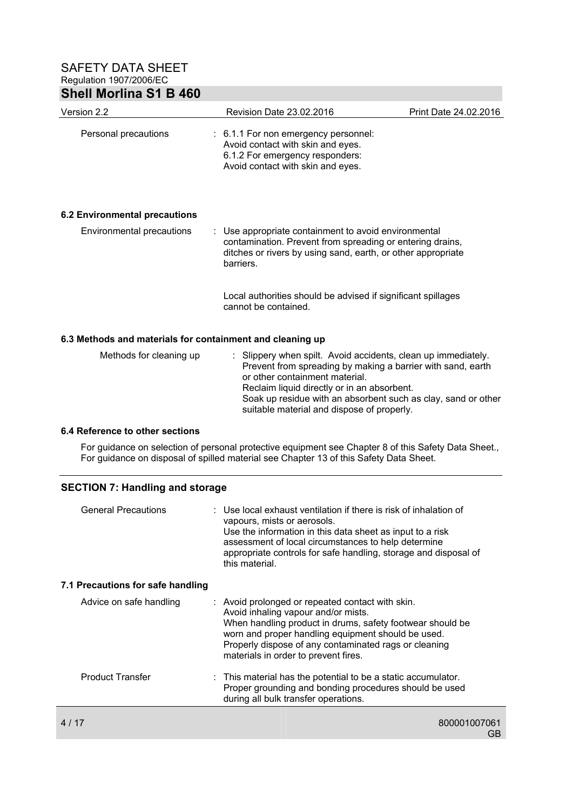| Version 2.2                                               | Revision Date 23.02.2016                                                                                                                                                                                      | Print Date 24.02.2016 |  |  |  |
|-----------------------------------------------------------|---------------------------------------------------------------------------------------------------------------------------------------------------------------------------------------------------------------|-----------------------|--|--|--|
| Personal precautions                                      | : 6.1.1 For non emergency personnel:<br>Avoid contact with skin and eyes.<br>6.1.2 For emergency responders:<br>Avoid contact with skin and eyes.                                                             |                       |  |  |  |
| <b>6.2 Environmental precautions</b>                      |                                                                                                                                                                                                               |                       |  |  |  |
| Environmental precautions                                 | Use appropriate containment to avoid environmental<br>contamination. Prevent from spreading or entering drains,<br>ditches or rivers by using sand, earth, or other appropriate<br>barriers.                  |                       |  |  |  |
|                                                           | Local authorities should be advised if significant spillages<br>cannot be contained.                                                                                                                          |                       |  |  |  |
| 6.3 Methods and materials for containment and cleaning up |                                                                                                                                                                                                               |                       |  |  |  |
| Methods for cleaning up                                   | : Slippery when spilt. Avoid accidents, clean up immediately.<br>Prevent from spreading by making a barrier with sand, earth<br>or other containment material.<br>Reclaim liquid directly or in an absorbent. |                       |  |  |  |

Soak up residue with an absorbent such as clay, sand or other suitable material and dispose of properly.

## **6.4 Reference to other sections**

For guidance on selection of personal protective equipment see Chapter 8 of this Safety Data Sheet., For guidance on disposal of spilled material see Chapter 13 of this Safety Data Sheet.

## **SECTION 7: Handling and storage**

| <b>General Precautions</b>        | vapours, mists or aerosols.<br>this material. | : Use local exhaust ventilation if there is risk of inhalation of<br>Use the information in this data sheet as input to a risk<br>assessment of local circumstances to help determine<br>appropriate controls for safe handling, storage and disposal of                                                    |    |
|-----------------------------------|-----------------------------------------------|-------------------------------------------------------------------------------------------------------------------------------------------------------------------------------------------------------------------------------------------------------------------------------------------------------------|----|
| 7.1 Precautions for safe handling |                                               |                                                                                                                                                                                                                                                                                                             |    |
| Advice on safe handling           |                                               | : Avoid prolonged or repeated contact with skin.<br>Avoid inhaling vapour and/or mists.<br>When handling product in drums, safety footwear should be<br>worn and proper handling equipment should be used.<br>Properly dispose of any contaminated rags or cleaning<br>materials in order to prevent fires. |    |
| <b>Product Transfer</b>           |                                               | $\therefore$ This material has the potential to be a static accumulator.<br>Proper grounding and bonding procedures should be used<br>during all bulk transfer operations.                                                                                                                                  |    |
| 4 / 17                            |                                               | 800001007061                                                                                                                                                                                                                                                                                                | GВ |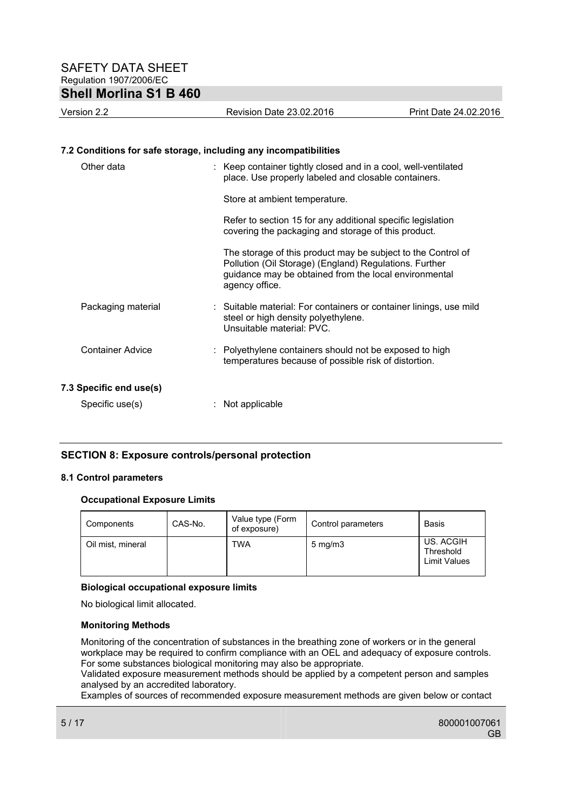| Version 2.2                                                      | Revision Date 23.02.2016                                                                                                                                                                          | Print Date 24.02.2016 |
|------------------------------------------------------------------|---------------------------------------------------------------------------------------------------------------------------------------------------------------------------------------------------|-----------------------|
| 7.2 Conditions for safe storage, including any incompatibilities |                                                                                                                                                                                                   |                       |
| Other data                                                       | : Keep container tightly closed and in a cool, well-ventilated<br>place. Use properly labeled and closable containers.                                                                            |                       |
|                                                                  | Store at ambient temperature.                                                                                                                                                                     |                       |
|                                                                  | Refer to section 15 for any additional specific legislation<br>covering the packaging and storage of this product.                                                                                |                       |
|                                                                  | The storage of this product may be subject to the Control of<br>Pollution (Oil Storage) (England) Regulations. Further<br>guidance may be obtained from the local environmental<br>agency office. |                       |
| Packaging material                                               | : Suitable material: For containers or container linings, use mild<br>steel or high density polyethylene.<br>Unsuitable material: PVC.                                                            |                       |
| <b>Container Advice</b>                                          | : Polyethylene containers should not be exposed to high<br>temperatures because of possible risk of distortion.                                                                                   |                       |
| 7.3 Specific end use(s)<br>Specific use(s)                       | Not applicable                                                                                                                                                                                    |                       |

# **SECTION 8: Exposure controls/personal protection**

#### **8.1 Control parameters**

#### **Occupational Exposure Limits**

| Components        | CAS-No. | Value type (Form<br>of exposure) | Control parameters | Basis                                         |
|-------------------|---------|----------------------------------|--------------------|-----------------------------------------------|
| Oil mist, mineral |         | TWA                              | $5 \text{ mg/m}$   | US. ACGIH<br>Threshold<br><b>Limit Values</b> |

## **Biological occupational exposure limits**

No biological limit allocated.

#### **Monitoring Methods**

Monitoring of the concentration of substances in the breathing zone of workers or in the general workplace may be required to confirm compliance with an OEL and adequacy of exposure controls. For some substances biological monitoring may also be appropriate.

Validated exposure measurement methods should be applied by a competent person and samples analysed by an accredited laboratory.

Examples of sources of recommended exposure measurement methods are given below or contact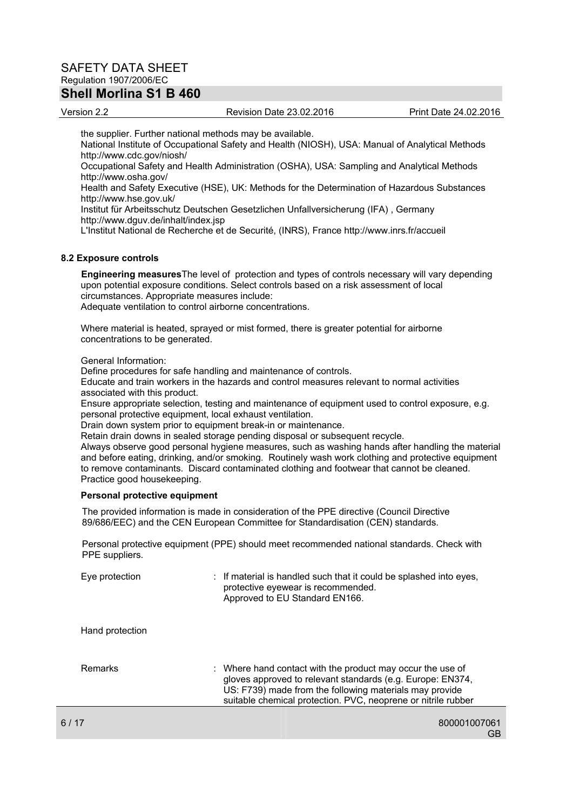# SAFETY DATA SHEET Regulation 1907/2006/EC

# **Shell Morlina S1 B 460**

#### Version 2.2 Revision Date 23.02.2016 Print Date 24.02.2016

the supplier. Further national methods may be available. National Institute of Occupational Safety and Health (NIOSH), USA: Manual of Analytical Methods http://www.cdc.gov/niosh/ Occupational Safety and Health Administration (OSHA), USA: Sampling and Analytical Methods http://www.osha.gov/ Health and Safety Executive (HSE), UK: Methods for the Determination of Hazardous Substances http://www.hse.gov.uk/ Institut für Arbeitsschutz Deutschen Gesetzlichen Unfallversicherung (IFA) , Germany http://www.dguv.de/inhalt/index.jsp L'Institut National de Recherche et de Securité, (INRS), France http://www.inrs.fr/accueil

# **8.2 Exposure controls**

**Engineering measures**The level of protection and types of controls necessary will vary depending upon potential exposure conditions. Select controls based on a risk assessment of local circumstances. Appropriate measures include: Adequate ventilation to control airborne concentrations.

Where material is heated, sprayed or mist formed, there is greater potential for airborne concentrations to be generated.

General Information:

Define procedures for safe handling and maintenance of controls.

Educate and train workers in the hazards and control measures relevant to normal activities associated with this product.

Ensure appropriate selection, testing and maintenance of equipment used to control exposure, e.g. personal protective equipment, local exhaust ventilation.

Drain down system prior to equipment break-in or maintenance.

Retain drain downs in sealed storage pending disposal or subsequent recycle.

Always observe good personal hygiene measures, such as washing hands after handling the material and before eating, drinking, and/or smoking. Routinely wash work clothing and protective equipment to remove contaminants. Discard contaminated clothing and footwear that cannot be cleaned. Practice good housekeeping.

#### **Personal protective equipment**

The provided information is made in consideration of the PPE directive (Council Directive 89/686/EEC) and the CEN European Committee for Standardisation (CEN) standards.

Personal protective equipment (PPE) should meet recommended national standards. Check with PPE suppliers.

| Eye protection  | : If material is handled such that it could be splashed into eyes,<br>protective eyewear is recommended.<br>Approved to EU Standard EN166.                                                                                                           |
|-----------------|------------------------------------------------------------------------------------------------------------------------------------------------------------------------------------------------------------------------------------------------------|
| Hand protection |                                                                                                                                                                                                                                                      |
| Remarks         | : Where hand contact with the product may occur the use of<br>gloves approved to relevant standards (e.g. Europe: EN374,<br>US: F739) made from the following materials may provide<br>suitable chemical protection. PVC, neoprene or nitrile rubber |
| 6/17            | 800001007061                                                                                                                                                                                                                                         |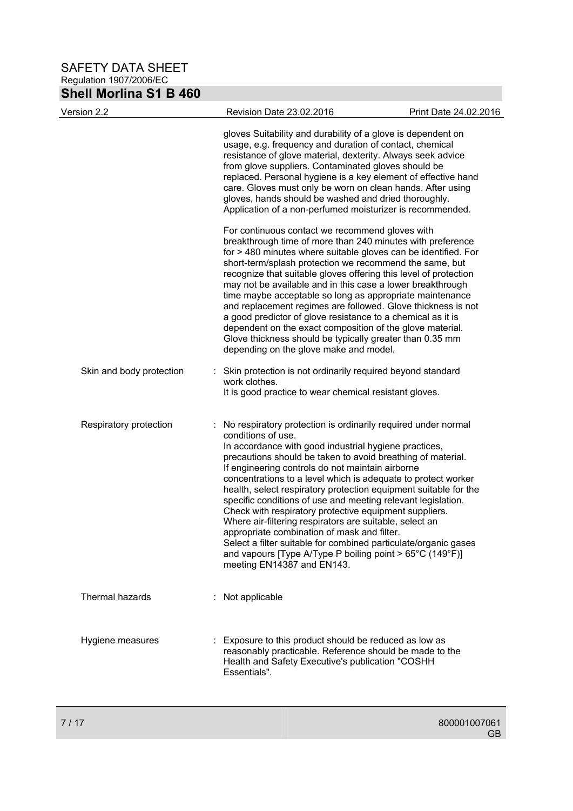SAFETY DATA SHEET Regulation 1907/2006/EC

# **Shell Morlina S1 B 460**

| Version 2.2              | Revision Date 23.02.2016                                                                                                                                                                                                                                                | Print Date 24.02.2016                                                                                                                                                                                                                                                                                                                                                                                                                                                                                                                                                                                                                         |
|--------------------------|-------------------------------------------------------------------------------------------------------------------------------------------------------------------------------------------------------------------------------------------------------------------------|-----------------------------------------------------------------------------------------------------------------------------------------------------------------------------------------------------------------------------------------------------------------------------------------------------------------------------------------------------------------------------------------------------------------------------------------------------------------------------------------------------------------------------------------------------------------------------------------------------------------------------------------------|
|                          | from glove suppliers. Contaminated gloves should be                                                                                                                                                                                                                     | gloves Suitability and durability of a glove is dependent on<br>usage, e.g. frequency and duration of contact, chemical<br>resistance of glove material, dexterity. Always seek advice<br>replaced. Personal hygiene is a key element of effective hand<br>care. Gloves must only be worn on clean hands. After using<br>gloves, hands should be washed and dried thoroughly.<br>Application of a non-perfumed moisturizer is recommended.                                                                                                                                                                                                    |
|                          | For continuous contact we recommend gloves with<br>depending on the glove make and model.                                                                                                                                                                               | breakthrough time of more than 240 minutes with preference<br>for > 480 minutes where suitable gloves can be identified. For<br>short-term/splash protection we recommend the same, but<br>recognize that suitable gloves offering this level of protection<br>may not be available and in this case a lower breakthrough<br>time maybe acceptable so long as appropriate maintenance<br>and replacement regimes are followed. Glove thickness is not<br>a good predictor of glove resistance to a chemical as it is<br>dependent on the exact composition of the glove material.<br>Glove thickness should be typically greater than 0.35 mm |
| Skin and body protection | work clothes.<br>It is good practice to wear chemical resistant gloves.                                                                                                                                                                                                 | Skin protection is not ordinarily required beyond standard                                                                                                                                                                                                                                                                                                                                                                                                                                                                                                                                                                                    |
| Respiratory protection   | conditions of use.<br>In accordance with good industrial hygiene practices,<br>If engineering controls do not maintain airborne<br>Where air-filtering respirators are suitable, select an<br>appropriate combination of mask and filter.<br>meeting EN14387 and EN143. | : No respiratory protection is ordinarily required under normal<br>precautions should be taken to avoid breathing of material.<br>concentrations to a level which is adequate to protect worker<br>health, select respiratory protection equipment suitable for the<br>specific conditions of use and meeting relevant legislation.<br>Check with respiratory protective equipment suppliers.<br>Select a filter suitable for combined particulate/organic gases<br>and vapours [Type A/Type P boiling point > 65°C (149°F)]                                                                                                                  |
| Thermal hazards          | : Not applicable                                                                                                                                                                                                                                                        |                                                                                                                                                                                                                                                                                                                                                                                                                                                                                                                                                                                                                                               |
| Hygiene measures         | Exposure to this product should be reduced as low as<br>Health and Safety Executive's publication "COSHH<br>Essentials".                                                                                                                                                | reasonably practicable. Reference should be made to the                                                                                                                                                                                                                                                                                                                                                                                                                                                                                                                                                                                       |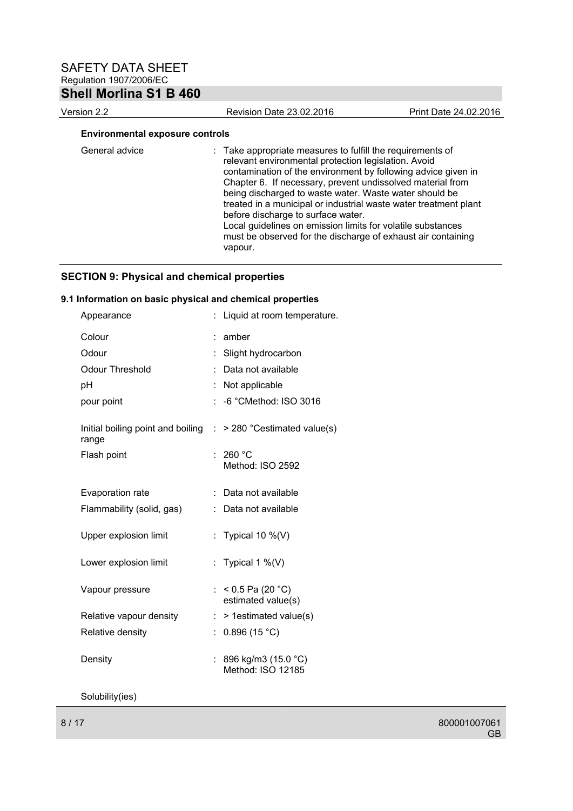# **Shell Morlina S1 B 460**

| Version 2.2                            | <b>Revision Date 23.02.2016</b> | Print Date 24.02.2016 |
|----------------------------------------|---------------------------------|-----------------------|
| <b>Environmental exposure controls</b> |                                 |                       |
| $\sim$ $\sim$ $\sim$ $\sim$            |                                 |                       |

| General advice | : Take appropriate measures to fulfill the requirements of<br>relevant environmental protection legislation. Avoid<br>contamination of the environment by following advice given in<br>Chapter 6. If necessary, prevent undissolved material from<br>being discharged to waste water. Waste water should be<br>treated in a municipal or industrial waste water treatment plant<br>before discharge to surface water.<br>Local guidelines on emission limits for volatile substances<br>must be observed for the discharge of exhaust air containing<br>vapour. |
|----------------|-----------------------------------------------------------------------------------------------------------------------------------------------------------------------------------------------------------------------------------------------------------------------------------------------------------------------------------------------------------------------------------------------------------------------------------------------------------------------------------------------------------------------------------------------------------------|
|----------------|-----------------------------------------------------------------------------------------------------------------------------------------------------------------------------------------------------------------------------------------------------------------------------------------------------------------------------------------------------------------------------------------------------------------------------------------------------------------------------------------------------------------------------------------------------------------|

# **SECTION 9: Physical and chemical properties**

# **9.1 Information on basic physical and chemical properties**

| Appearance                                                                         |   | : Liquid at room temperature.              |
|------------------------------------------------------------------------------------|---|--------------------------------------------|
| Colour                                                                             | t | amber                                      |
| Odour                                                                              |   | Slight hydrocarbon                         |
| <b>Odour Threshold</b>                                                             |   | Data not available                         |
| pH                                                                                 |   | Not applicable                             |
| pour point                                                                         |   | : -6 °CMethod: ISO 3016                    |
| Initial boiling point and boiling $\therefore$ > 280 °Cestimated value(s)<br>range |   |                                            |
| Flash point                                                                        |   | 260 °C<br>Method: ISO 2592                 |
| <b>Evaporation rate</b>                                                            |   | : Data not available                       |
| Flammability (solid, gas)                                                          |   | Data not available                         |
| Upper explosion limit                                                              |   | : Typical 10 $\%$ (V)                      |
| Lower explosion limit                                                              |   | : Typical 1 %(V)                           |
| Vapour pressure                                                                    |   | : < 0.5 Pa (20 °C)<br>estimated value(s)   |
| Relative vapour density                                                            |   | > 1estimated value(s)                      |
| Relative density                                                                   |   | 0.896(15 °C)                               |
| Density                                                                            |   | : 896 kg/m3 (15.0 °C)<br>Method: ISO 12185 |

Solubility(ies)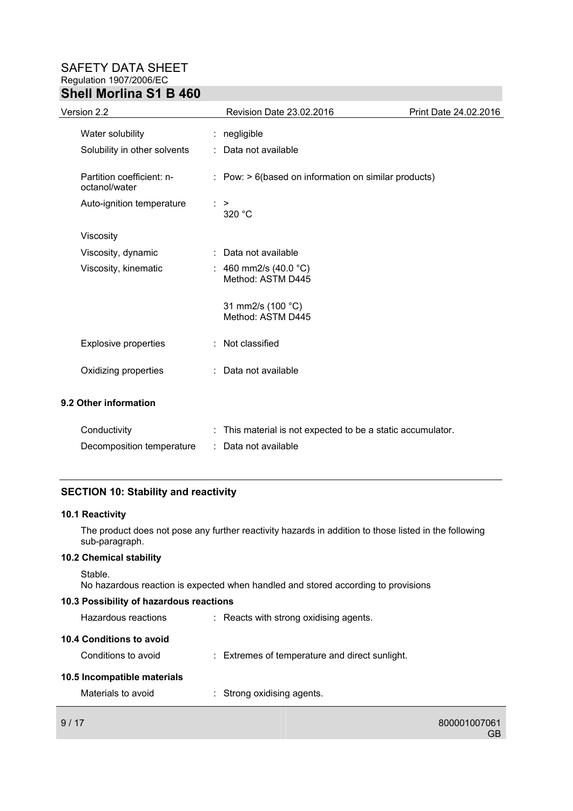| Version 2.2                                | Revision Date 23.02.2016                                           | Print Date 24.02.2016 |
|--------------------------------------------|--------------------------------------------------------------------|-----------------------|
| Water solubility                           | : negligible                                                       |                       |
| Solubility in other solvents               | : Data not available                                               |                       |
| Partition coefficient: n-<br>octanol/water | $\therefore$ Pow: $> 6$ (based on information on similar products) |                       |
| Auto-ignition temperature                  | $\therefore$ ><br>320 °C                                           |                       |
| Viscosity                                  |                                                                    |                       |
| Viscosity, dynamic                         | : Data not available                                               |                       |
| Viscosity, kinematic                       | : 460 mm2/s (40.0 $^{\circ}$ C)<br>Method: ASTM D445               |                       |
|                                            | 31 mm2/s (100 °C)<br>Method: ASTM D445                             |                       |
| <b>Explosive properties</b>                | : Not classified                                                   |                       |
| Oxidizing properties                       | : Data not available                                               |                       |
| 9.2 Other information                      |                                                                    |                       |
| Conductivity                               | : This material is not expected to be a static accumulator.        |                       |
| Decomposition temperature                  | Data not available                                                 |                       |

# **SECTION 10: Stability and reactivity**

## **10.1 Reactivity**

The product does not pose any further reactivity hazards in addition to those listed in the following sub-paragraph.

## **10.2 Chemical stability**

```
Stable.
```
No hazardous reaction is expected when handled and stored according to provisions

# **10.3 Possibility of hazardous reactions**

| 9/17                        |                                                | 800001007061 |
|-----------------------------|------------------------------------------------|--------------|
| Materials to avoid          | : Strong oxidising agents.                     |              |
| 10.5 Incompatible materials |                                                |              |
| Conditions to avoid         | : Extremes of temperature and direct sunlight. |              |
| 10.4 Conditions to avoid    |                                                |              |
| Hazardous reactions         | : Reacts with strong oxidising agents.         |              |

GB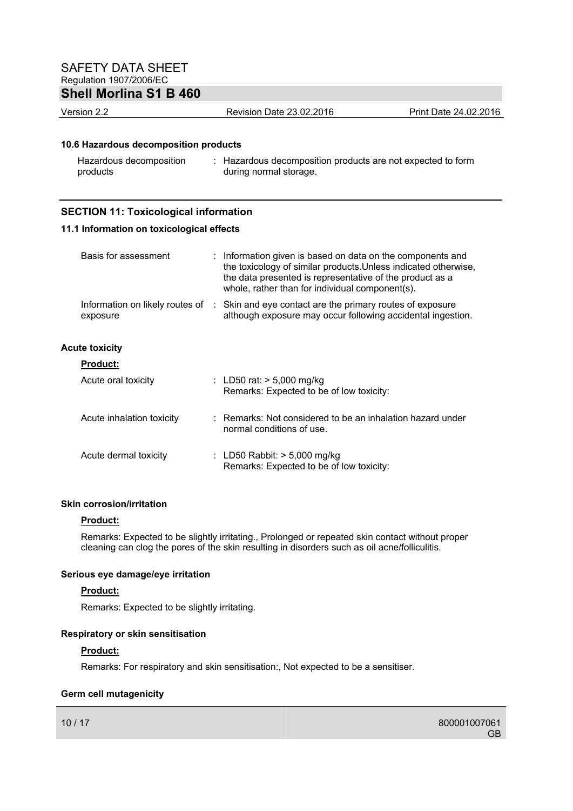# **Shell Morlina S1 B 460**

Version 2.2 Revision Date 23.02.2016 Print Date 24.02.2016

# **10.6 Hazardous decomposition products**

| Hazardous decomposition | Hazardous decomposition products are not expected to form |
|-------------------------|-----------------------------------------------------------|
| products                | during normal storage.                                    |

# **SECTION 11: Toxicological information**

#### **11.1 Information on toxicological effects**

| Basis for assessment      | : Information given is based on data on the components and<br>the toxicology of similar products. Unless indicated otherwise,<br>the data presented is representative of the product as a<br>whole, rather than for individual component(s). |
|---------------------------|----------------------------------------------------------------------------------------------------------------------------------------------------------------------------------------------------------------------------------------------|
| exposure                  | Information on likely routes of : Skin and eye contact are the primary routes of exposure<br>although exposure may occur following accidental ingestion.                                                                                     |
| <b>Acute toxicity</b>     |                                                                                                                                                                                                                                              |
| <b>Product:</b>           |                                                                                                                                                                                                                                              |
| Acute oral toxicity       | : LD50 rat: $> 5,000$ mg/kg<br>Remarks: Expected to be of low toxicity:                                                                                                                                                                      |
| Acute inhalation toxicity | : Remarks: Not considered to be an inhalation hazard under<br>normal conditions of use.                                                                                                                                                      |
| Acute dermal toxicity     | : LD50 Rabbit: $>$ 5,000 mg/kg                                                                                                                                                                                                               |

#### **Skin corrosion/irritation**

#### **Product:**

Remarks: Expected to be slightly irritating., Prolonged or repeated skin contact without proper cleaning can clog the pores of the skin resulting in disorders such as oil acne/folliculitis.

Remarks: Expected to be of low toxicity:

#### **Serious eye damage/eye irritation**

## **Product:**

Remarks: Expected to be slightly irritating.

# **Respiratory or skin sensitisation**

## **Product:**

Remarks: For respiratory and skin sensitisation:, Not expected to be a sensitiser.

## **Germ cell mutagenicity**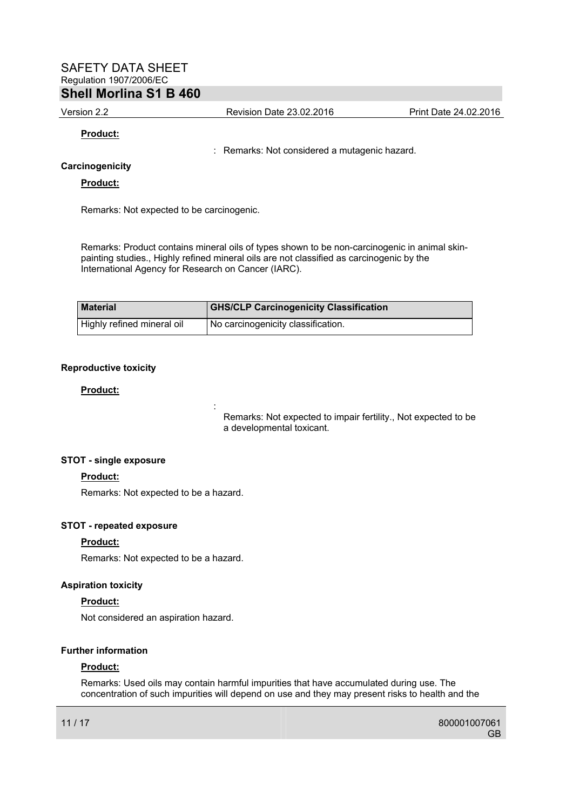Version 2.2 Revision Date 23.02.2016 Print Date 24.02.2016

### **Product:**

: Remarks: Not considered a mutagenic hazard.

### **Carcinogenicity**

#### **Product:**

Remarks: Not expected to be carcinogenic.

Remarks: Product contains mineral oils of types shown to be non-carcinogenic in animal skinpainting studies., Highly refined mineral oils are not classified as carcinogenic by the International Agency for Research on Cancer (IARC).

| <b>Material</b>            | <b>GHS/CLP Carcinogenicity Classification</b> |
|----------------------------|-----------------------------------------------|
| Highly refined mineral oil | No carcinogenicity classification.            |

### **Reproductive toxicity**

### **Product:**

Remarks: Not expected to impair fertility., Not expected to be a developmental toxicant.

## **STOT - single exposure**

#### **Product:**

Remarks: Not expected to be a hazard.

**Service State State State State** 

## **STOT - repeated exposure**

#### **Product:**

Remarks: Not expected to be a hazard.

#### **Aspiration toxicity**

#### **Product:**

Not considered an aspiration hazard.

### **Further information**

#### **Product:**

Remarks: Used oils may contain harmful impurities that have accumulated during use. The concentration of such impurities will depend on use and they may present risks to health and the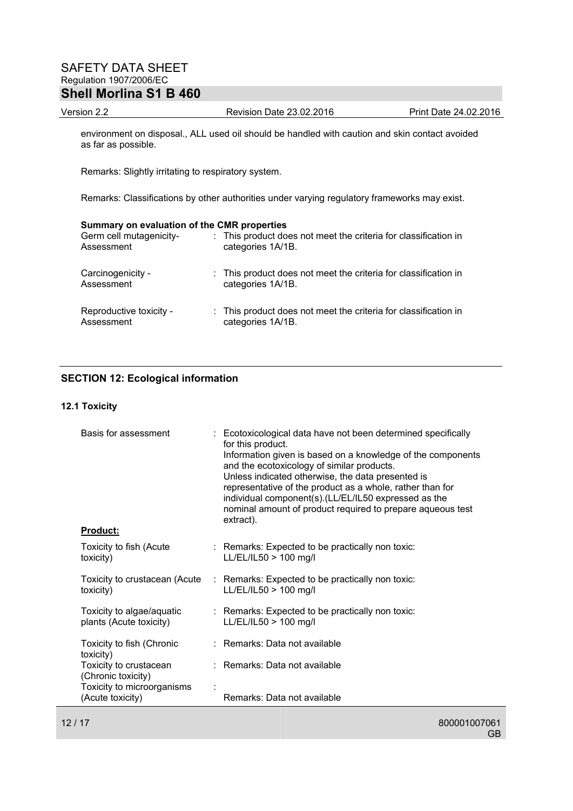Version 2.2 Revision Date 23.02.2016 Print Date 24.02.2016

environment on disposal., ALL used oil should be handled with caution and skin contact avoided as far as possible.

Remarks: Slightly irritating to respiratory system.

Remarks: Classifications by other authorities under varying regulatory frameworks may exist.

### **Summary on evaluation of the CMR properties**

| Germ cell mutagenicity-<br>Assessment | : This product does not meet the criteria for classification in<br>categories 1A/1B. |
|---------------------------------------|--------------------------------------------------------------------------------------|
| Carcinogenicity -<br>Assessment       | : This product does not meet the criteria for classification in<br>categories 1A/1B. |
| Reproductive toxicity -<br>Assessment | : This product does not meet the criteria for classification in<br>categories 1A/1B. |

# **SECTION 12: Ecological information**

#### **12.1 Toxicity**

| Basis for assessment                                 | : Ecotoxicological data have not been determined specifically<br>for this product.<br>Information given is based on a knowledge of the components<br>and the ecotoxicology of similar products.<br>Unless indicated otherwise, the data presented is<br>representative of the product as a whole, rather than for<br>individual component(s).(LL/EL/IL50 expressed as the<br>nominal amount of product required to prepare aqueous test<br>extract). |
|------------------------------------------------------|------------------------------------------------------------------------------------------------------------------------------------------------------------------------------------------------------------------------------------------------------------------------------------------------------------------------------------------------------------------------------------------------------------------------------------------------------|
| <b>Product:</b>                                      |                                                                                                                                                                                                                                                                                                                                                                                                                                                      |
| Toxicity to fish (Acute<br>toxicity)                 | : Remarks: Expected to be practically non toxic:<br>LL/EL/IL50 > 100 mg/l                                                                                                                                                                                                                                                                                                                                                                            |
| Toxicity to crustacean (Acute<br>toxicity)           | : Remarks: Expected to be practically non toxic:<br>LL/EL/IL50 > 100 mg/l                                                                                                                                                                                                                                                                                                                                                                            |
| Toxicity to algae/aquatic<br>plants (Acute toxicity) | : Remarks: Expected to be practically non toxic:<br>LL/EL/IL50 > 100 mg/l                                                                                                                                                                                                                                                                                                                                                                            |
| Toxicity to fish (Chronic<br>toxicity)               | : Remarks: Data not available                                                                                                                                                                                                                                                                                                                                                                                                                        |
| Toxicity to crustacean<br>(Chronic toxicity)         | : Remarks: Data not available                                                                                                                                                                                                                                                                                                                                                                                                                        |
| Toxicity to microorganisms<br>(Acute toxicity)       | Remarks: Data not available                                                                                                                                                                                                                                                                                                                                                                                                                          |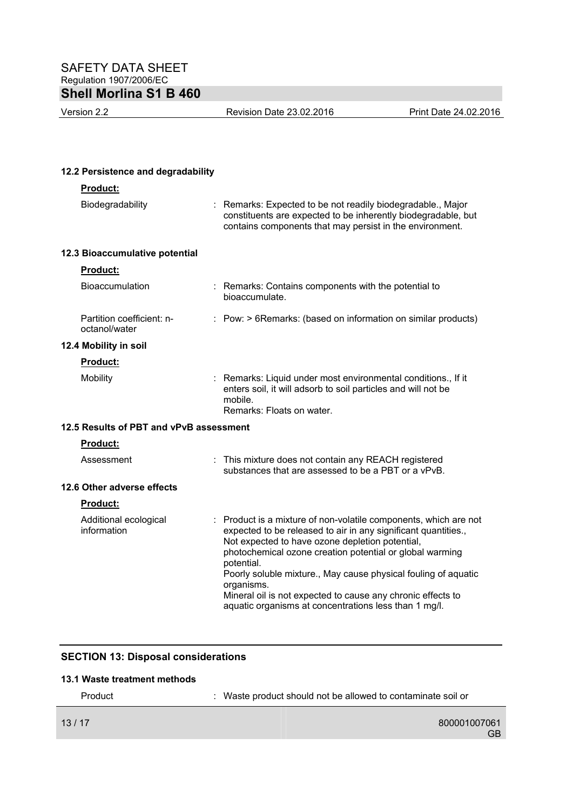Version 2.2 Revision Date 23.02.2016 Print Date 24.02.2016

| 12.2 Persistence and degradability         |                                                                                                                                                                                                                                                                                                                                                                                                                                                                       |
|--------------------------------------------|-----------------------------------------------------------------------------------------------------------------------------------------------------------------------------------------------------------------------------------------------------------------------------------------------------------------------------------------------------------------------------------------------------------------------------------------------------------------------|
| <b>Product:</b>                            |                                                                                                                                                                                                                                                                                                                                                                                                                                                                       |
| Biodegradability                           | Remarks: Expected to be not readily biodegradable., Major<br>constituents are expected to be inherently biodegradable, but<br>contains components that may persist in the environment.                                                                                                                                                                                                                                                                                |
| 12.3 Bioaccumulative potential             |                                                                                                                                                                                                                                                                                                                                                                                                                                                                       |
| <b>Product:</b>                            |                                                                                                                                                                                                                                                                                                                                                                                                                                                                       |
| Bioaccumulation                            | : Remarks: Contains components with the potential to<br>bioaccumulate.                                                                                                                                                                                                                                                                                                                                                                                                |
| Partition coefficient: n-<br>octanol/water | : Pow: > 6Remarks: (based on information on similar products)                                                                                                                                                                                                                                                                                                                                                                                                         |
| 12.4 Mobility in soil                      |                                                                                                                                                                                                                                                                                                                                                                                                                                                                       |
| <b>Product:</b>                            |                                                                                                                                                                                                                                                                                                                                                                                                                                                                       |
| Mobility                                   | Remarks: Liquid under most environmental conditions., If it<br>enters soil, it will adsorb to soil particles and will not be<br>mobile.<br>Remarks: Floats on water.                                                                                                                                                                                                                                                                                                  |
| 12.5 Results of PBT and vPvB assessment    |                                                                                                                                                                                                                                                                                                                                                                                                                                                                       |
| <b>Product:</b>                            |                                                                                                                                                                                                                                                                                                                                                                                                                                                                       |
| Assessment                                 | : This mixture does not contain any REACH registered<br>substances that are assessed to be a PBT or a vPvB.                                                                                                                                                                                                                                                                                                                                                           |
| 12.6 Other adverse effects                 |                                                                                                                                                                                                                                                                                                                                                                                                                                                                       |
| <b>Product:</b>                            |                                                                                                                                                                                                                                                                                                                                                                                                                                                                       |
| Additional ecological<br>information       | Product is a mixture of non-volatile components, which are not<br>expected to be released to air in any significant quantities.,<br>Not expected to have ozone depletion potential,<br>photochemical ozone creation potential or global warming<br>potential.<br>Poorly soluble mixture., May cause physical fouling of aquatic<br>organisms.<br>Mineral oil is not expected to cause any chronic effects to<br>aquatic organisms at concentrations less than 1 mg/l. |

# **SECTION 13: Disposal considerations**

### **13.1 Waste treatment methods**

| Product | : Waste product should not be allowed to contaminate soil or |  |
|---------|--------------------------------------------------------------|--|
| 13/17   | 800001007061<br>GB                                           |  |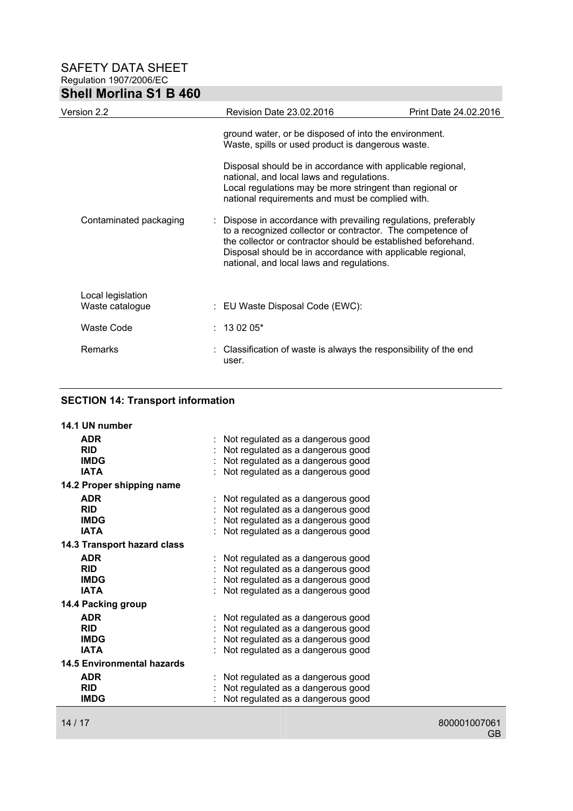| <b>Shell Morlina S1 B 460</b>        |                                                                                               |                                                                                                                                                                                                                                                            |
|--------------------------------------|-----------------------------------------------------------------------------------------------|------------------------------------------------------------------------------------------------------------------------------------------------------------------------------------------------------------------------------------------------------------|
| Version 2.2                          | <b>Revision Date 23.02.2016</b>                                                               | Print Date 24.02.2016                                                                                                                                                                                                                                      |
|                                      | Waste, spills or used product is dangerous waste.                                             | ground water, or be disposed of into the environment.                                                                                                                                                                                                      |
|                                      | national, and local laws and regulations.<br>national requirements and must be complied with. | Disposal should be in accordance with applicable regional,<br>Local regulations may be more stringent than regional or                                                                                                                                     |
| Contaminated packaging               | national, and local laws and regulations.                                                     | Dispose in accordance with prevailing regulations, preferably<br>to a recognized collector or contractor. The competence of<br>the collector or contractor should be established beforehand.<br>Disposal should be in accordance with applicable regional, |
| Local legislation<br>Waste catalogue | : EU Waste Disposal Code (EWC):                                                               |                                                                                                                                                                                                                                                            |
| <b>Waste Code</b>                    | $: 130205*$                                                                                   |                                                                                                                                                                                                                                                            |
| <b>Remarks</b>                       | user.                                                                                         | Classification of waste is always the responsibility of the end                                                                                                                                                                                            |

# **SECTION 14: Transport information**

| 14.1 UN number                    |                                   |
|-----------------------------------|-----------------------------------|
| <b>ADR</b>                        | Not regulated as a dangerous good |
| <b>RID</b>                        | Not regulated as a dangerous good |
| <b>IMDG</b>                       | Not regulated as a dangerous good |
| <b>IATA</b>                       | Not regulated as a dangerous good |
| 14.2 Proper shipping name         |                                   |
| <b>ADR</b>                        | Not regulated as a dangerous good |
| <b>RID</b>                        | Not regulated as a dangerous good |
| <b>IMDG</b>                       | Not regulated as a dangerous good |
| <b>IATA</b>                       | Not regulated as a dangerous good |
| 14.3 Transport hazard class       |                                   |
| <b>ADR</b>                        | Not regulated as a dangerous good |
| <b>RID</b>                        | Not regulated as a dangerous good |
| <b>IMDG</b>                       | Not regulated as a dangerous good |
| IATA                              | Not regulated as a dangerous good |
| 14.4 Packing group                |                                   |
| <b>ADR</b>                        | Not regulated as a dangerous good |
| <b>RID</b>                        | Not regulated as a dangerous good |
| <b>IMDG</b>                       | Not regulated as a dangerous good |
| <b>IATA</b>                       | Not regulated as a dangerous good |
| <b>14.5 Environmental hazards</b> |                                   |
| <b>ADR</b>                        | Not regulated as a dangerous good |
| <b>RID</b>                        | Not regulated as a dangerous good |
| <b>IMDG</b>                       | Not regulated as a dangerous good |
|                                   |                                   |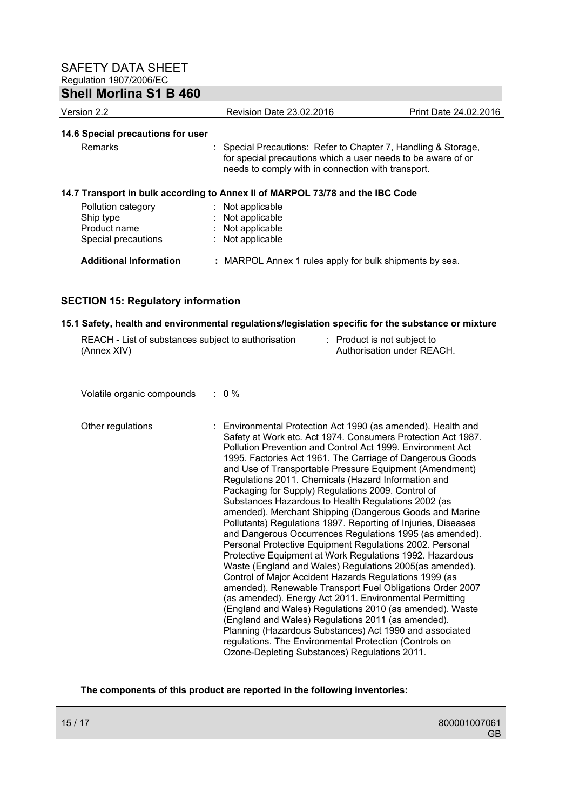| <b>Shell Morlina S1 B 460</b>     |                                                                                                                                                                                      |                       |
|-----------------------------------|--------------------------------------------------------------------------------------------------------------------------------------------------------------------------------------|-----------------------|
| Version 2.2                       | Revision Date 23.02.2016                                                                                                                                                             | Print Date 24.02.2016 |
| 14.6 Special precautions for user |                                                                                                                                                                                      |                       |
| <b>Remarks</b>                    | : Special Precautions: Refer to Chapter 7, Handling & Storage,<br>for special precautions which a user needs to be aware of or<br>needs to comply with in connection with transport. |                       |
|                                   | 14.7 Transport in bulk according to Annex II of MARPOL 73/78 and the IBC Code                                                                                                        |                       |
| Pollution category                | : Not applicable                                                                                                                                                                     |                       |
| Ship type<br>Product name         | : Not applicable<br>: Not applicable                                                                                                                                                 |                       |
| Special precautions               | : Not applicable                                                                                                                                                                     |                       |
| <b>Additional Information</b>     | : MARPOL Annex 1 rules apply for bulk shipments by sea.                                                                                                                              |                       |

# **SECTION 15: Regulatory information**

#### **15.1 Safety, health and environmental regulations/legislation specific for the substance or mixture**

| REACH - List of substances subject to authorisation | : Product is not subject to |
|-----------------------------------------------------|-----------------------------|
| (Annex XIV)                                         | Authorisation under REACH.  |

Volatile organic compounds : 0 %

Other regulations : Environmental Protection Act 1990 (as amended). Health and Safety at Work etc. Act 1974. Consumers Protection Act 1987. Pollution Prevention and Control Act 1999. Environment Act 1995. Factories Act 1961. The Carriage of Dangerous Goods and Use of Transportable Pressure Equipment (Amendment) Regulations 2011. Chemicals (Hazard Information and Packaging for Supply) Regulations 2009. Control of Substances Hazardous to Health Regulations 2002 (as amended). Merchant Shipping (Dangerous Goods and Marine Pollutants) Regulations 1997. Reporting of Injuries, Diseases and Dangerous Occurrences Regulations 1995 (as amended). Personal Protective Equipment Regulations 2002. Personal Protective Equipment at Work Regulations 1992. Hazardous Waste (England and Wales) Regulations 2005(as amended). Control of Major Accident Hazards Regulations 1999 (as amended). Renewable Transport Fuel Obligations Order 2007 (as amended). Energy Act 2011. Environmental Permitting (England and Wales) Regulations 2010 (as amended). Waste (England and Wales) Regulations 2011 (as amended). Planning (Hazardous Substances) Act 1990 and associated regulations. The Environmental Protection (Controls on Ozone-Depleting Substances) Regulations 2011.

## **The components of this product are reported in the following inventories:**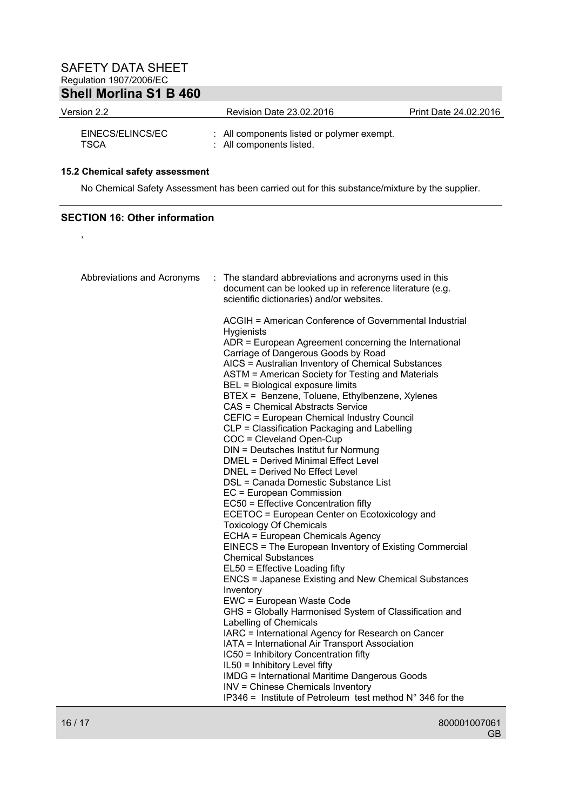| Version 2.2              | Revision Date 23.02.2016                                               | Print Date 24.02.2016 |
|--------------------------|------------------------------------------------------------------------|-----------------------|
| EINECS/ELINCS/EC<br>TSCA | : All components listed or polymer exempt.<br>: All components listed. |                       |

### **15.2 Chemical safety assessment**

No Chemical Safety Assessment has been carried out for this substance/mixture by the supplier.

# **SECTION 16: Other information**

,

| Abbreviations and Acronyms | The standard abbreviations and acronyms used in this<br>document can be looked up in reference literature (e.g.<br>scientific dictionaries) and/or websites. |
|----------------------------|--------------------------------------------------------------------------------------------------------------------------------------------------------------|
|                            | ACGIH = American Conference of Governmental Industrial<br>Hygienists                                                                                         |
|                            | ADR = European Agreement concerning the International<br>Carriage of Dangerous Goods by Road                                                                 |
|                            | AICS = Australian Inventory of Chemical Substances                                                                                                           |
|                            | ASTM = American Society for Testing and Materials                                                                                                            |
|                            | BEL = Biological exposure limits<br>BTEX = Benzene, Toluene, Ethylbenzene, Xylenes                                                                           |
|                            | <b>CAS = Chemical Abstracts Service</b>                                                                                                                      |
|                            | CEFIC = European Chemical Industry Council                                                                                                                   |
|                            | CLP = Classification Packaging and Labelling                                                                                                                 |
|                            | COC = Cleveland Open-Cup<br>DIN = Deutsches Institut fur Normung                                                                                             |
|                            | DMEL = Derived Minimal Effect Level                                                                                                                          |
|                            | DNEL = Derived No Effect Level                                                                                                                               |
|                            | DSL = Canada Domestic Substance List                                                                                                                         |
|                            | EC = European Commission<br>EC50 = Effective Concentration fifty                                                                                             |
|                            | ECETOC = European Center on Ecotoxicology and                                                                                                                |
|                            | <b>Toxicology Of Chemicals</b>                                                                                                                               |
|                            | ECHA = European Chemicals Agency                                                                                                                             |
|                            | EINECS = The European Inventory of Existing Commercial<br><b>Chemical Substances</b>                                                                         |
|                            | EL50 = Effective Loading fifty<br><b>ENCS = Japanese Existing and New Chemical Substances</b><br>Inventory                                                   |
|                            | EWC = European Waste Code                                                                                                                                    |
|                            | GHS = Globally Harmonised System of Classification and<br>Labelling of Chemicals                                                                             |
|                            | IARC = International Agency for Research on Cancer                                                                                                           |
|                            | IATA = International Air Transport Association                                                                                                               |
|                            | IC50 = Inhibitory Concentration fifty<br>IL50 = Inhibitory Level fifty                                                                                       |
|                            | <b>IMDG = International Maritime Dangerous Goods</b>                                                                                                         |
|                            | INV = Chinese Chemicals Inventory                                                                                                                            |
|                            | IP346 = Institute of Petroleum test method $N^{\circ}$ 346 for the                                                                                           |